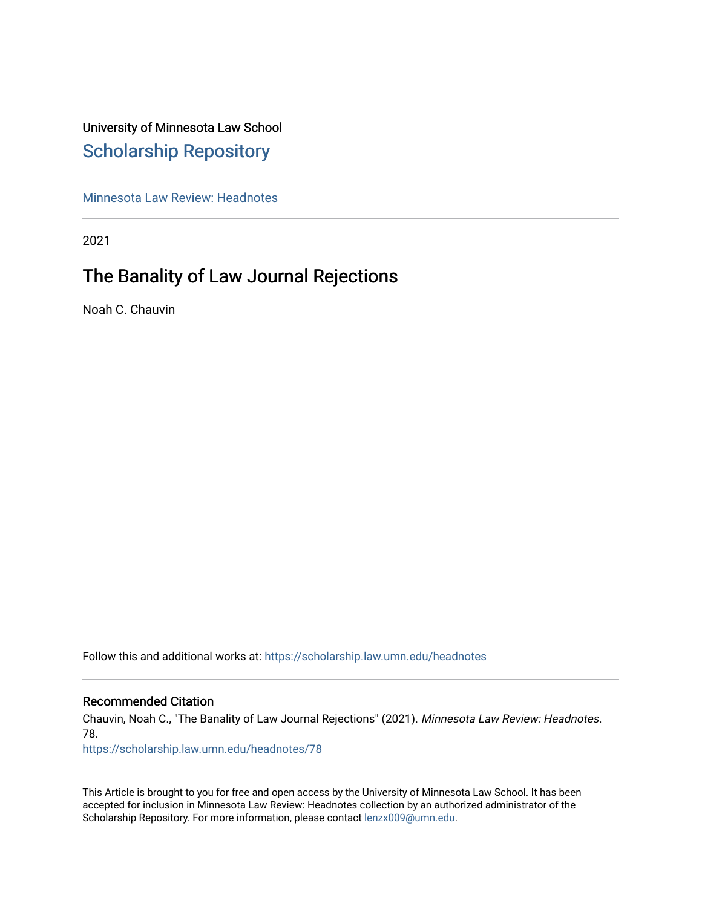# University of Minnesota Law School [Scholarship Repository](https://scholarship.law.umn.edu/)

[Minnesota Law Review: Headnotes](https://scholarship.law.umn.edu/headnotes) 

2021

# The Banality of Law Journal Rejections

Noah C. Chauvin

Follow this and additional works at: [https://scholarship.law.umn.edu/headnotes](https://scholarship.law.umn.edu/headnotes?utm_source=scholarship.law.umn.edu%2Fheadnotes%2F78&utm_medium=PDF&utm_campaign=PDFCoverPages) 

## Recommended Citation

Chauvin, Noah C., "The Banality of Law Journal Rejections" (2021). Minnesota Law Review: Headnotes. 78.

[https://scholarship.law.umn.edu/headnotes/78](https://scholarship.law.umn.edu/headnotes/78?utm_source=scholarship.law.umn.edu%2Fheadnotes%2F78&utm_medium=PDF&utm_campaign=PDFCoverPages)

This Article is brought to you for free and open access by the University of Minnesota Law School. It has been accepted for inclusion in Minnesota Law Review: Headnotes collection by an authorized administrator of the Scholarship Repository. For more information, please contact [lenzx009@umn.edu.](mailto:lenzx009@umn.edu)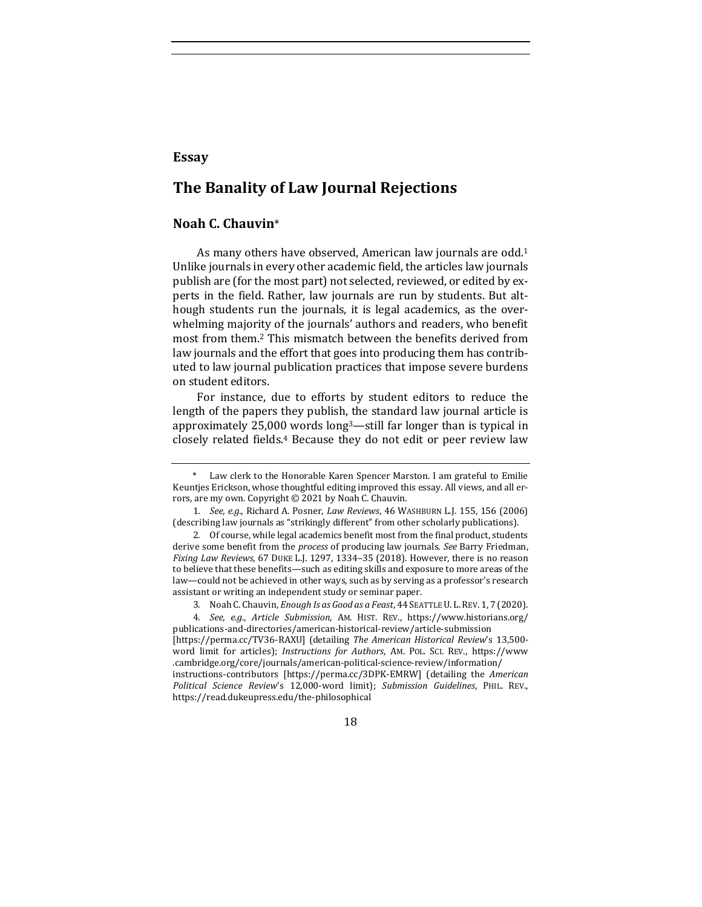## **Essay**

# **The Banality of Law Journal Rejections**

## **Noah C. Chauvin**\*

<span id="page-1-2"></span>As many others have observed, American law journals are odd.<sup>1</sup> Unlike journals in every other academic field, the articles law journals publish are (for the most part) not selected, reviewed, or edited by experts in the field. Rather, law journals are run by students. But although students run the journals, it is legal academics, as the overwhelming majority of the journals' authors and readers, who benefit most from them.<sup>2</sup> This mismatch between the benefits derived from law journals and the effort that goes into producing them has contributed to law journal publication practices that impose severe burdens on student editors.

<span id="page-1-1"></span><span id="page-1-0"></span>For instance, due to efforts by student editors to reduce the length of the papers they publish, the standard law journal article is approximately 25,000 words long3—still far longer than is typical in closely related fields.<sup>4</sup> Because they do not edit or peer review law

Law clerk to the Honorable Karen Spencer Marston. I am grateful to Emilie Keuntjes Erickson, whose thoughtful editing improved this essay. All views, and all errors, are my own. Copyright © 2021 by Noah C. Chauvin.

<sup>1</sup>*. See, e.g.*, Richard A. Posner, *Law Reviews*, 46 WASHBURN L.J. 155, 156 (2006) (describing law journals as "strikingly different" from other scholarly publications).

<sup>2.</sup> Of course, while legal academics benefit most from the final product, students derive some benefit from the *process* of producing law journals. *See* Barry Friedman, *Fixing Law Reviews*, 67 DUKE L.J. 1297, 1334–35 (2018). However, there is no reason to believe that these benefits—such as editing skills and exposure to more areas of the law—could not be achieved in other ways, such as by serving as a professor's research assistant or writing an independent study or seminar paper.

<sup>3.</sup> Noah C. Chauvin, *Enough Is as Good as a Feast*, 44 SEATTLE U. L.REV. 1, 7 (2020).

<sup>4</sup>*. See, e.g.*, *Article Submission*, AM. HIST. REV., https://www.historians.org/ publications-and-directories/american-historical-review/article-submission

<sup>[</sup>https://perma.cc/TV36-RAXU] (detailing *The American Historical Review*'s 13,500 word limit for articles); *Instructions for Authors*, AM. POL. SCI. REV., https://www .cambridge.org/core/journals/american-political-science-review/information/ instructions-contributors [https://perma.cc/3DPK-EMRW] (detailing the *American Political Science Review*'s 12,000-word limit); *Submission Guidelines*, PHIL. REV., https://read.dukeupress.edu/the-philosophical

<sup>18</sup>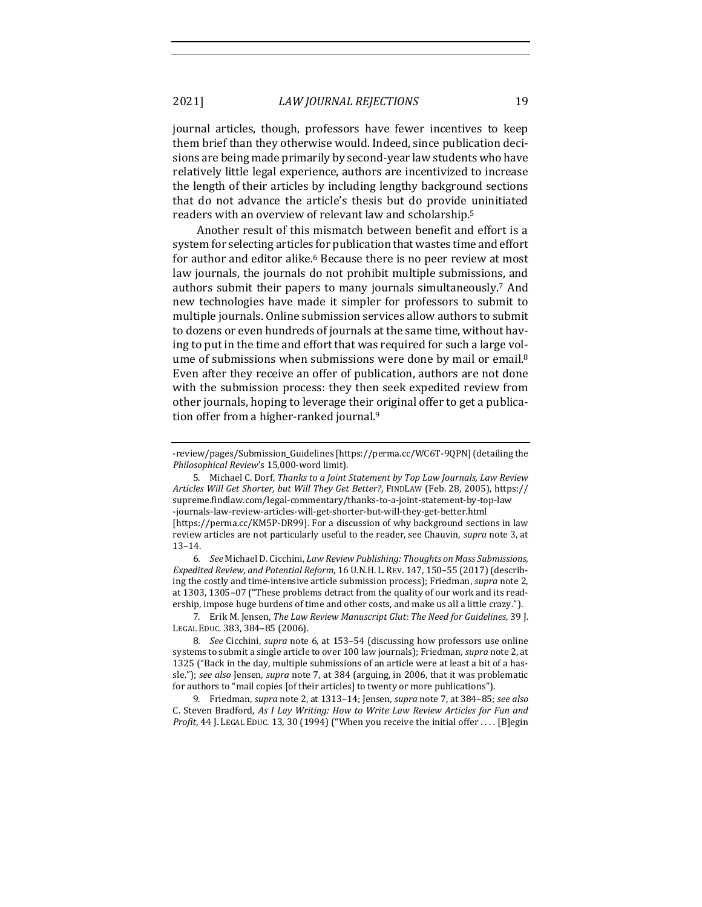2021] *LAW JOURNAL REJECTIONS* 19

journal articles, though, professors have fewer incentives to keep them brief than they otherwise would. Indeed, since publication decisions are being made primarily by second-year law students who have relatively little legal experience, authors are incentivized to increase the length of their articles by including lengthy background sections that do not advance the article's thesis but do provide uninitiated readers with an overview of relevant law and scholarship.<sup>5</sup>

<span id="page-2-2"></span><span id="page-2-1"></span><span id="page-2-0"></span>Another result of this mismatch between benefit and effort is a system for selecting articles for publication that wastes time and effort for author and editor alike.<sup>6</sup> Because there is no peer review at most law journals, the journals do not prohibit multiple submissions, and authors submit their papers to many journals simultaneously.<sup>7</sup> And new technologies have made it simpler for professors to submit to multiple journals. Online submission services allow authors to submit to dozens or even hundreds of journals at the same time, without having to put in the time and effort that was required for such a large volume of submissions when submissions were done by mail or email.<sup>8</sup> Even after they receive an offer of publication, authors are not done with the submission process: they then seek expedited review from other journals, hoping to leverage their original offer to get a publication offer from a higher-ranked journal.<sup>9</sup>

6*. See* Michael D. Cicchini, *Law Review Publishing: Thoughts on Mass Submissions, Expedited Review, and Potential Reform*, 16 U.N.H. L. REV. 147, 150–55 (2017) (describing the costly and time-intensive article submission process); Friedman, *supra* not[e 2,](#page-1-1)  at 1303, 1305–07 ("These problems detract from the quality of our work and its readership, impose huge burdens of time and other costs, and make us all a little crazy.").

7. Erik M. Jensen, *The Law Review Manuscript Glut: The Need for Guidelines*, 39 J. LEGAL EDUC. 383, 384–85 (2006).

8*. See* Cicchini, *supra* note [6,](#page-2-0) at 153–54 (discussing how professors use online systems to submit a single article to over 100 law journals); Friedman, *supra* not[e 2,](#page-1-1) at 1325 ("Back in the day, multiple submissions of an article were at least a bit of a hassle."); *see also* Jensen, *supra* note [7,](#page-2-1) at 384 (arguing, in 2006, that it was problematic for authors to "mail copies [of their articles] to twenty or more publications").

9. Friedman, *supra* not[e 2,](#page-1-1) at 1313–14; Jensen, *supra* not[e 7,](#page-2-1) at 384–85; *see also* C. Steven Bradford, *As I Lay Writing: How to Write Law Review Articles for Fun and Profit*, 44 J. LEGAL EDUC. 13, 30 (1994) ("When you receive the initial offer . . . . [B]egin

<span id="page-2-3"></span><sup>-</sup>review/pages/Submission\_Guidelines [https://perma.cc/WC6T-9QPN] (detailing the *Philosophical Review*'s 15,000-word limit).

<sup>5.</sup> Michael C. Dorf, *Thanks to a Joint Statement by Top Law Journals, Law Review Articles Will Get Shorter, but Will They Get Better?*, FINDLAW (Feb. 28, 2005), https:// supreme.findlaw.com/legal-commentary/thanks-to-a-joint-statement-by-top-law -journals-law-review-articles-will-get-shorter-but-will-they-get-better.html [https://perma.cc/KM5P-DR99]. For a discussion of why background sections in law review articles are not particularly useful to the reader, see Chauvin, *supra* not[e 3,](#page-1-0) at 13–14.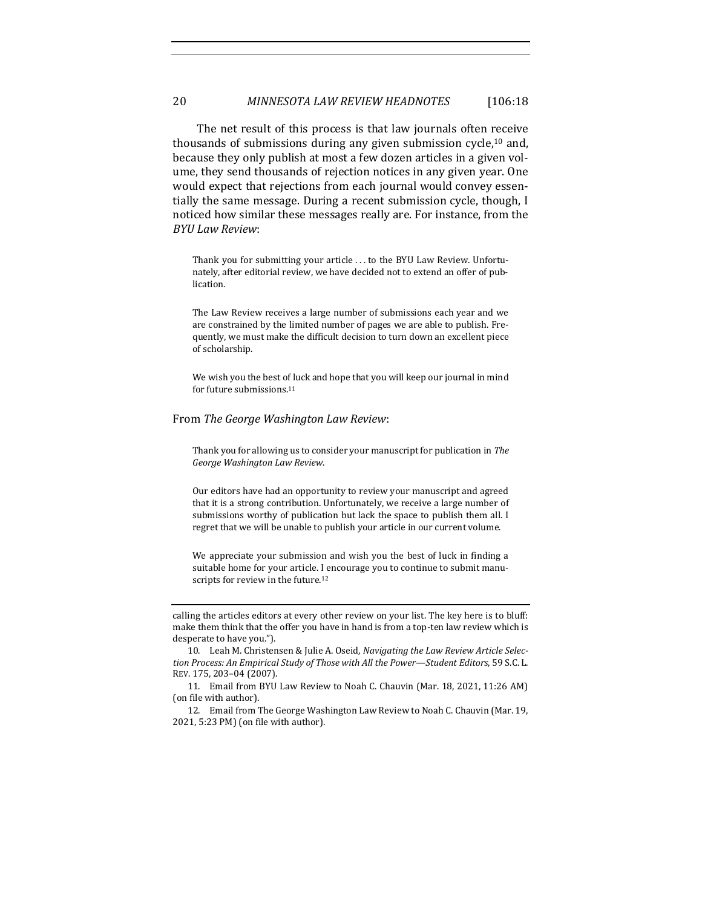The net result of this process is that law journals often receive thousands of submissions during any given submission cycle,<sup>10</sup> and, because they only publish at most a few dozen articles in a given volume, they send thousands of rejection notices in any given year. One would expect that rejections from each journal would convey essentially the same message. During a recent submission cycle, though, I noticed how similar these messages really are. For instance, from the *BYU Law Review*:

Thank you for submitting your article . . . to the BYU Law Review. Unfortunately, after editorial review, we have decided not to extend an offer of publication.

The Law Review receives a large number of submissions each year and we are constrained by the limited number of pages we are able to publish. Frequently, we must make the difficult decision to turn down an excellent piece of scholarship.

We wish you the best of luck and hope that you will keep our journal in mind for future submissions.<sup>11</sup>

#### From *The George Washington Law Review*:

Thank you for allowing us to consider your manuscript for publication in *The George Washington Law Review*.

Our editors have had an opportunity to review your manuscript and agreed that it is a strong contribution. Unfortunately, we receive a large number of submissions worthy of publication but lack the space to publish them all. I regret that we will be unable to publish your article in our current volume.

<span id="page-3-0"></span>We appreciate your submission and wish you the best of luck in finding a suitable home for your article. I encourage you to continue to submit manuscripts for review in the future.<sup>12</sup>

calling the articles editors at every other review on your list. The key here is to bluff: make them think that the offer you have in hand is from a top-ten law review which is desperate to have you.").

<sup>10.</sup> Leah M. Christensen & Julie A. Oseid, *Navigating the Law Review Article Selection Process: An Empirical Study of Those with All the Power—Student Editors*, 59 S.C. L. REV. 175, 203–04 (2007).

<sup>11.</sup> Email from BYU Law Review to Noah C. Chauvin (Mar. 18, 2021, 11:26 AM) (on file with author).

<sup>12.</sup> Email from The George Washington Law Review to Noah C. Chauvin (Mar. 19, 2021, 5:23 PM) (on file with author).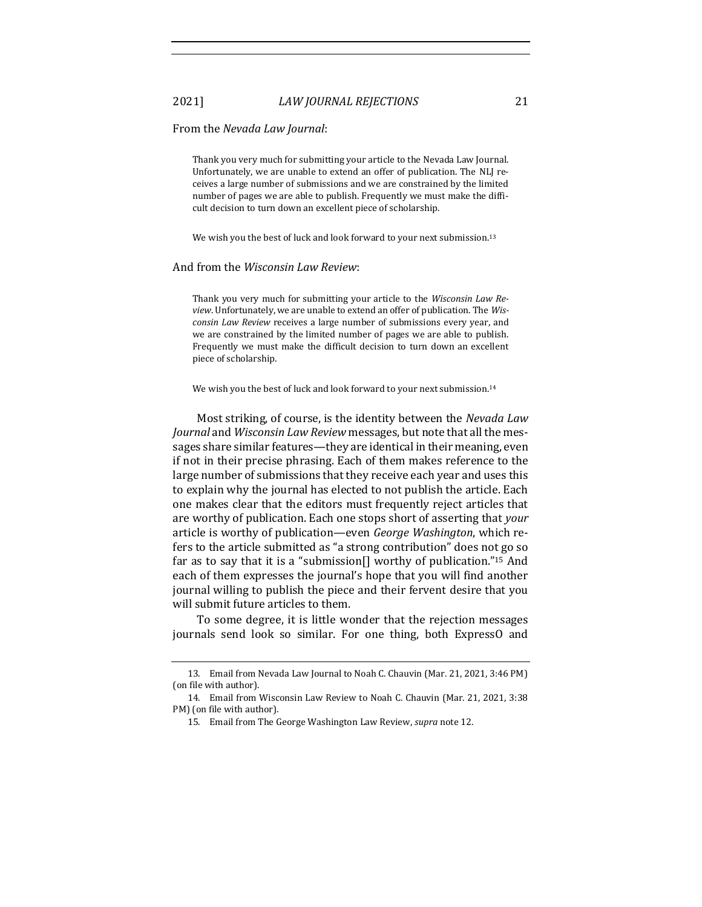### From the *Nevada Law Journal*:

Thank you very much for submitting your article to the Nevada Law Journal. Unfortunately, we are unable to extend an offer of publication. The NLJ receives a large number of submissions and we are constrained by the limited number of pages we are able to publish. Frequently we must make the difficult decision to turn down an excellent piece of scholarship.

We wish you the best of luck and look forward to your next submission.<sup>13</sup>

### And from the *Wisconsin Law Review*:

Thank you very much for submitting your article to the *Wisconsin Law Review*. Unfortunately, we are unable to extend an offer of publication. The *Wisconsin Law Review* receives a large number of submissions every year, and we are constrained by the limited number of pages we are able to publish. Frequently we must make the difficult decision to turn down an excellent piece of scholarship.

We wish you the best of luck and look forward to your next submission.<sup>14</sup>

Most striking, of course, is the identity between the *Nevada Law Journal* and *Wisconsin Law Review* messages, but note that all the messages share similar features—they are identical in their meaning, even if not in their precise phrasing. Each of them makes reference to the large number of submissions that they receive each year and uses this to explain why the journal has elected to not publish the article. Each one makes clear that the editors must frequently reject articles that are worthy of publication. Each one stops short of asserting that *your* article is worthy of publication—even *George Washington*, which refers to the article submitted as "a strong contribution" does not go so far as to say that it is a "submission[] worthy of publication."<sup>15</sup> And each of them expresses the journal's hope that you will find another journal willing to publish the piece and their fervent desire that you will submit future articles to them.

To some degree, it is little wonder that the rejection messages journals send look so similar. For one thing, both ExpressO and

<sup>13.</sup> Email from Nevada Law Journal to Noah C. Chauvin (Mar. 21, 2021, 3:46 PM) (on file with author).

<sup>14.</sup> Email from Wisconsin Law Review to Noah C. Chauvin (Mar. 21, 2021, 3:38 PM) (on file with author).

<sup>15.</sup> Email from The George Washington Law Review, *supra* not[e 12.](#page-3-0)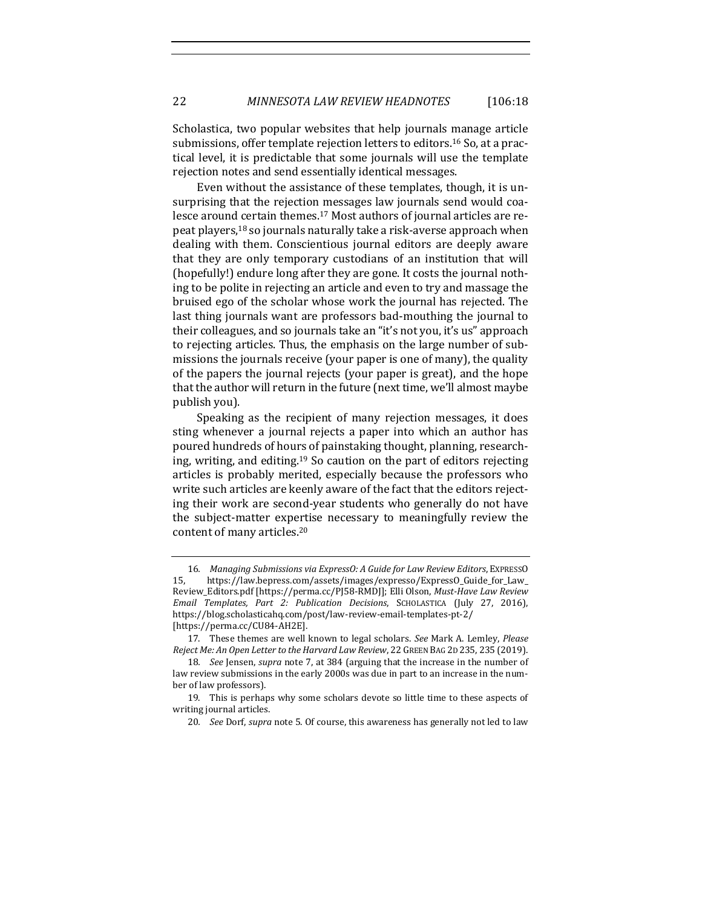Scholastica, two popular websites that help journals manage article submissions, offer template rejection letters to editors.<sup>16</sup> So, at a practical level, it is predictable that some journals will use the template rejection notes and send essentially identical messages.

<span id="page-5-0"></span>Even without the assistance of these templates, though, it is unsurprising that the rejection messages law journals send would coalesce around certain themes.<sup>17</sup> Most authors of journal articles are repeat players,<sup>18</sup> so journals naturally take a risk-averse approach when dealing with them. Conscientious journal editors are deeply aware that they are only temporary custodians of an institution that will (hopefully!) endure long after they are gone. It costs the journal nothing to be polite in rejecting an article and even to try and massage the bruised ego of the scholar whose work the journal has rejected. The last thing journals want are professors bad-mouthing the journal to their colleagues, and so journals take an "it's not you, it's us" approach to rejecting articles. Thus, the emphasis on the large number of submissions the journals receive (your paper is one of many), the quality of the papers the journal rejects (your paper is great), and the hope that the author will return in the future (next time, we'll almost maybe publish you).

Speaking as the recipient of many rejection messages, it does sting whenever a journal rejects a paper into which an author has poured hundreds of hours of painstaking thought, planning, researching, writing, and editing.<sup>19</sup> So caution on the part of editors rejecting articles is probably merited, especially because the professors who write such articles are keenly aware of the fact that the editors rejecting their work are second-year students who generally do not have the subject-matter expertise necessary to meaningfully review the content of many articles.<sup>20</sup>

<sup>16</sup>*. Managing Submissions via ExpressO: A Guide for Law Review Editors*, EXPRESSO 15, https://law.bepress.com/assets/images/expresso/ExpressO\_Guide\_for\_Law\_ Review\_Editors.pdf [https://perma.cc/PJ58-RMDJ]; Elli Olson, *Must-Have Law Review Email Templates, Part 2: Publication Decisions*, SCHOLASTICA (July 27, 2016), https://blog.scholasticahq.com/post/law-review-email-templates-pt-2/ [https://perma.cc/CU84-AH2E].

<sup>17.</sup> These themes are well known to legal scholars. *See* Mark A. Lemley, *Please Reject Me: An Open Letter to the Harvard Law Review*, 22 GREEN BAG 2D 235, 235 (2019).

<sup>18</sup>*. See* Jensen, *supra* not[e 7,](#page-2-1) at 384 (arguing that the increase in the number of law review submissions in the early 2000s was due in part to an increase in the number of law professors).

<sup>19.</sup> This is perhaps why some scholars devote so little time to these aspects of writing journal articles.

<sup>20</sup>*. See* Dorf, *supra* not[e 5.](#page-2-2) Of course, this awareness has generally not led to law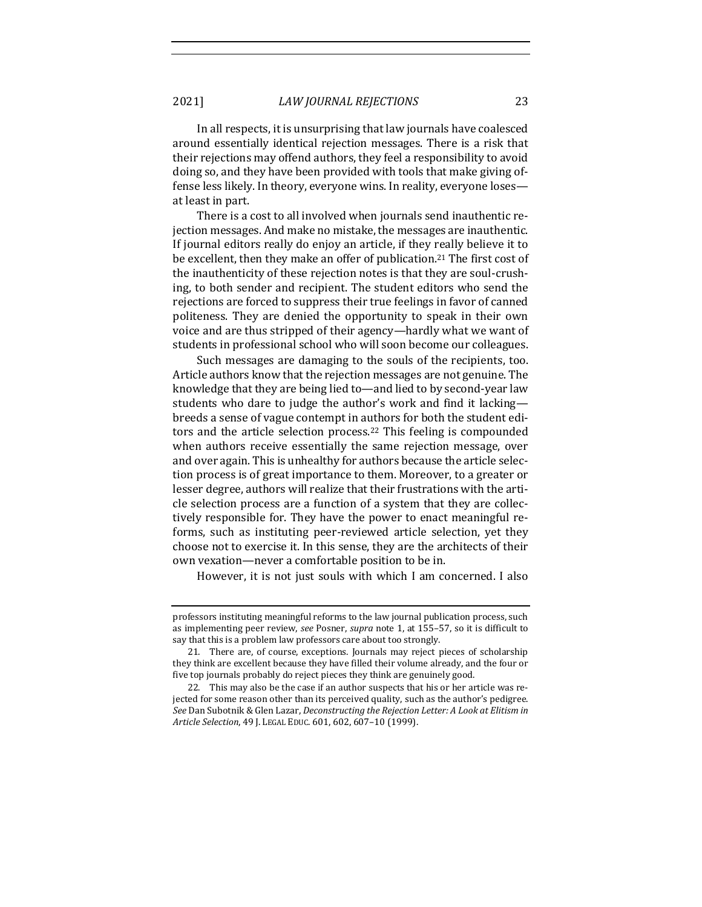In all respects, it is unsurprising that law journals have coalesced around essentially identical rejection messages. There is a risk that their rejections may offend authors, they feel a responsibility to avoid doing so, and they have been provided with tools that make giving offense less likely. In theory, everyone wins. In reality, everyone loses at least in part.

There is a cost to all involved when journals send inauthentic rejection messages. And make no mistake, the messages are inauthentic. If journal editors really do enjoy an article, if they really believe it to be excellent, then they make an offer of publication.<sup>21</sup> The first cost of the inauthenticity of these rejection notes is that they are soul-crushing, to both sender and recipient. The student editors who send the rejections are forced to suppress their true feelings in favor of canned politeness. They are denied the opportunity to speak in their own voice and are thus stripped of their agency—hardly what we want of students in professional school who will soon become our colleagues.

Such messages are damaging to the souls of the recipients, too. Article authors know that the rejection messages are not genuine. The knowledge that they are being lied to—and lied to by second-year law students who dare to judge the author's work and find it lacking breeds a sense of vague contempt in authors for both the student editors and the article selection process.<sup>22</sup> This feeling is compounded when authors receive essentially the same rejection message, over and over again. This is unhealthy for authors because the article selection process is of great importance to them. Moreover, to a greater or lesser degree, authors will realize that their frustrations with the article selection process are a function of a system that they are collectively responsible for. They have the power to enact meaningful reforms, such as instituting peer-reviewed article selection, yet they choose not to exercise it. In this sense, they are the architects of their own vexation—never a comfortable position to be in.

However, it is not just souls with which I am concerned. I also

professors instituting meaningful reforms to the law journal publication process, such as implementing peer review, *see* Posner, *supra* not[e 1,](#page-1-2) at 155–57, so it is difficult to say that this is a problem law professors care about too strongly.

<sup>21.</sup> There are, of course, exceptions. Journals may reject pieces of scholarship they think are excellent because they have filled their volume already, and the four or five top journals probably do reject pieces they think are genuinely good.

<sup>22.</sup> This may also be the case if an author suspects that his or her article was rejected for some reason other than its perceived quality, such as the author's pedigree. *See* Dan Subotnik & Glen Lazar, *Deconstructing the Rejection Letter: A Look at Elitism in Article Selection*, 49 J. LEGAL EDUC. 601, 602, 607–10 (1999).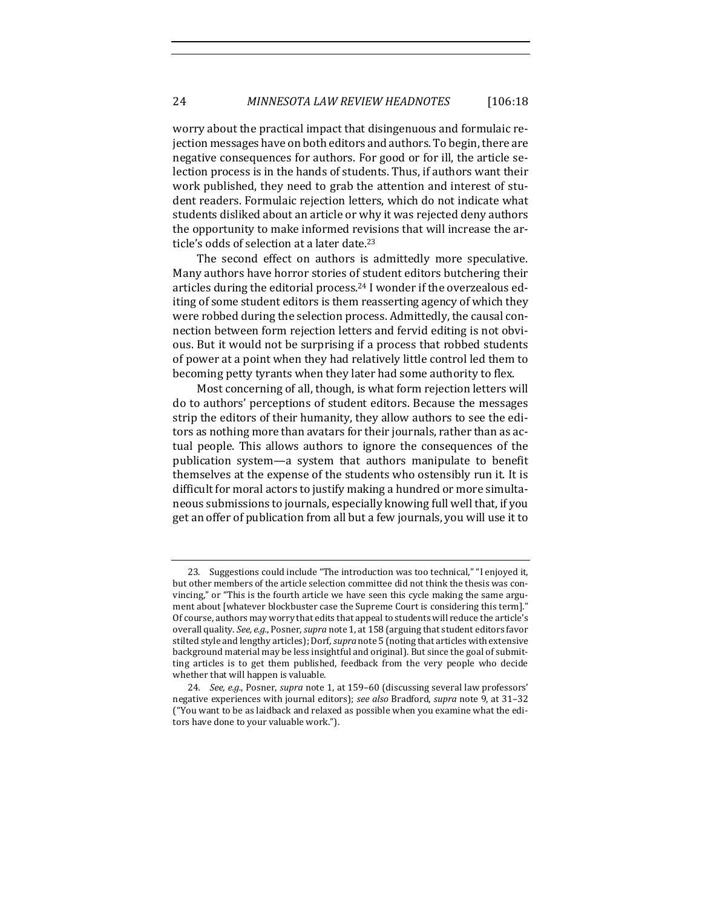worry about the practical impact that disingenuous and formulaic rejection messages have on both editors and authors. To begin, there are negative consequences for authors. For good or for ill, the article selection process is in the hands of students. Thus, if authors want their work published, they need to grab the attention and interest of student readers. Formulaic rejection letters, which do not indicate what students disliked about an article or why it was rejected deny authors the opportunity to make informed revisions that will increase the article's odds of selection at a later date.<sup>23</sup>

The second effect on authors is admittedly more speculative. Many authors have horror stories of student editors butchering their articles during the editorial process.<sup>24</sup> I wonder if the overzealous editing of some student editors is them reasserting agency of which they were robbed during the selection process. Admittedly, the causal connection between form rejection letters and fervid editing is not obvious. But it would not be surprising if a process that robbed students of power at a point when they had relatively little control led them to becoming petty tyrants when they later had some authority to flex.

Most concerning of all, though, is what form rejection letters will do to authors' perceptions of student editors. Because the messages strip the editors of their humanity, they allow authors to see the editors as nothing more than avatars for their journals, rather than as actual people. This allows authors to ignore the consequences of the publication system—a system that authors manipulate to benefit themselves at the expense of the students who ostensibly run it. It is difficult for moral actors to justify making a hundred or more simultaneous submissions to journals, especially knowing full well that, if you get an offer of publication from all but a few journals, you will use it to

<sup>23.</sup> Suggestions could include "The introduction was too technical," "I enjoyed it, but other members of the article selection committee did not think the thesis was convincing," or "This is the fourth article we have seen this cycle making the same argument about [whatever blockbuster case the Supreme Court is considering this term]." Of course, authors may worry that edits that appeal to students will reduce the article's overall quality. *See, e.g.*, Posner, *supra* not[e 1,](#page-1-2) at 158 (arguing that student editors favor stilted style and lengthy articles); Dorf, *supra* not[e 5](#page-2-2) (noting that articles with extensive background material may be less insightful and original). But since the goal of submitting articles is to get them published, feedback from the very people who decide whether that will happen is valuable.

<sup>24</sup>*. See, e.g.*, Posner, *supra* not[e 1,](#page-1-2) at 159–60 (discussing several law professors' negative experiences with journal editors); *see also* Bradford, *supra* not[e 9,](#page-2-3) at 31–32 ("You want to be as laidback and relaxed as possible when you examine what the editors have done to your valuable work.").